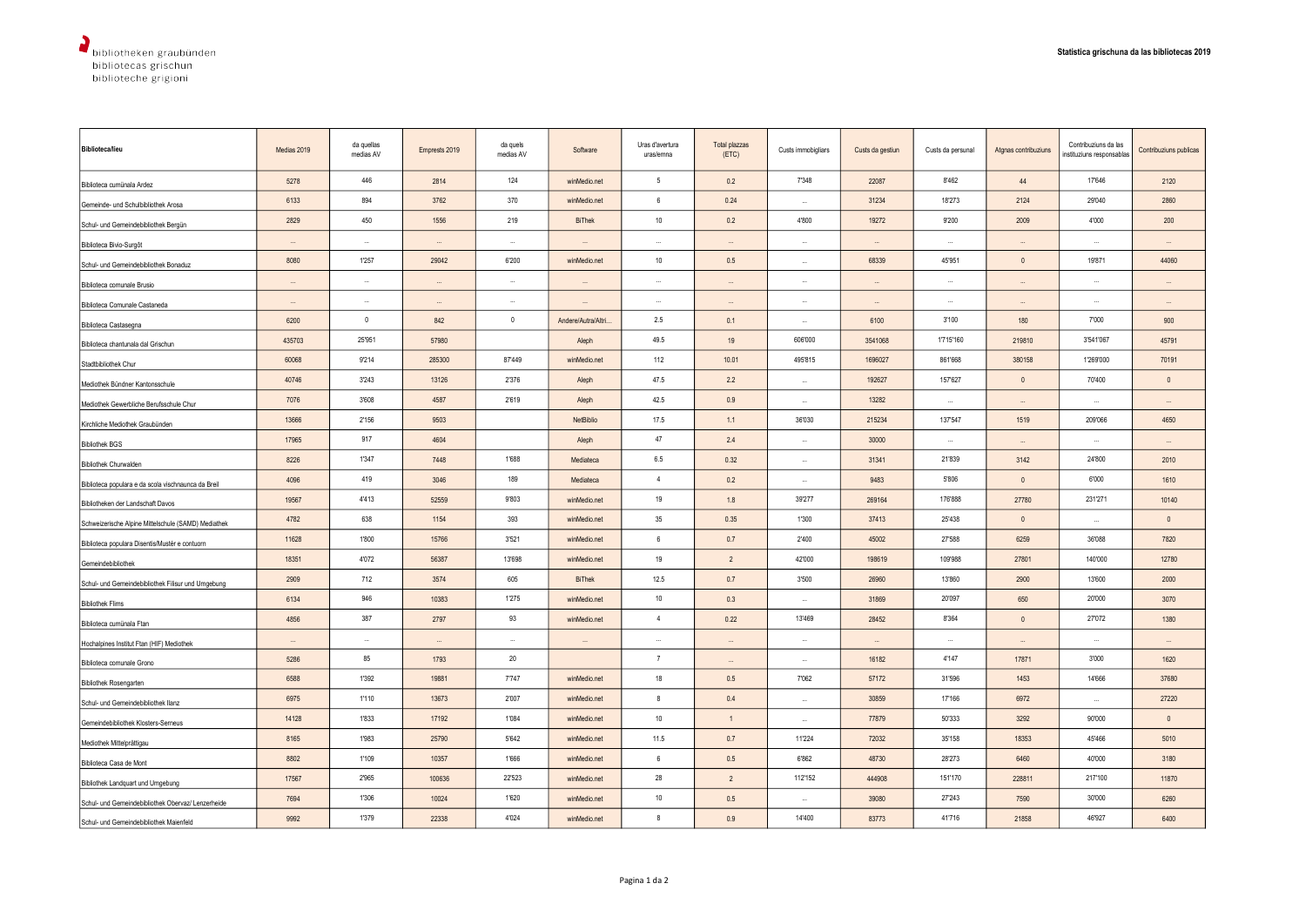| <b>Biblioteca/lieu</b>                              | Medias 2019 | da quellas<br>medias AV | Emprests 2019 | da quels<br>medias AV | Software                 | Uras d'avertura<br>uras/emna | Total plazzas<br>(ETC) | Custs immobigliars | Custs da gestiun | Custs da persunal | Atgnas contribuziuns | Contribuziuns da las<br>instituziuns responsablas | Contribuziuns publicas |
|-----------------------------------------------------|-------------|-------------------------|---------------|-----------------------|--------------------------|------------------------------|------------------------|--------------------|------------------|-------------------|----------------------|---------------------------------------------------|------------------------|
| Biblioteca cumünala Ardez                           | 5278        | 446                     | 2814          | 124                   | winMedio.net             | 5                            | 0.2                    | 7'348              | 22087            | 8'462             | 44                   | 17'646                                            | 2120                   |
| Gemeinde- und Schulbibliothek Arosa                 | 6133        | 894                     | 3762          | 370                   | winMedio.net             | 6                            | 0.24                   | $\cdots$           | 31234            | 18'273            | 2124                 | 29'040                                            | 2860                   |
| Schul- und Gemeindebibliothek Bergün                | 2829        | 450                     | 1556          | 219                   | <b>BiThek</b>            | $10\,$                       | 0.2                    | 4'800              | 19272            | 9'200             | 2009                 | 4'000                                             | 200                    |
| Biblioteca Bivio-Surgôt                             |             | $\ddotsc$               |               | $\cdots$              |                          | $\ddotsc$                    |                        | $\ddotsc$          | $\ddotsc$        | $\ddotsc$         |                      | $\ddotsc$                                         |                        |
| Schul- und Gemeindebibliothek Bonaduz               | 8080        | 1'257                   | 29042         | 6'200                 | winMedio.net             | $10$                         | 0.5                    |                    | 68339            | 45'951            | $\mathbf{0}$         | 19'871                                            | 44060                  |
| Biblioteca comunale Brusio                          | $\cdots$    | $\cdots$                | $\cdots$      | $\cdots$              | $\ddotsc$                | $\ddotsc$                    | $\cdots$               | $\cdots$           | $\cdots$         | $\cdots$          |                      | $\cdots$                                          |                        |
| Biblioteca Comunale Castaneda                       | $\cdots$    | $\sim$                  | $\cdots$      | $\sim$                | $\cdots$                 | $\cdots$                     | $\cdots$               | $\cdots$           | $\cdots$         | $\sim$            | $\cdots$             | $\cdots$                                          | $\cdots$               |
| Biblioteca Castasegna                               | 6200        | $\mathbf{0}$            | 842           | $\mathbf{0}$          | Andere/Autra/Altri.      | 2.5                          | 0.1                    | $\cdots$           | 6100             | 3'100             | 180                  | 7'000                                             | 900                    |
| Biblioteca chantunala dal Grischun                  | 435703      | 25'951                  | 57980         |                       | Aleph                    | 49.5                         | 19                     | 606'000            | 3541068          | 1'715'160         | 219810               | 3'541'067                                         | 45791                  |
| Stadtbibliothek Chur                                | 60068       | 9'214                   | 285300        | 87'449                | winMedio.net             | 112                          | 10.01                  | 495'815            | 1696027          | 861'668           | 380158               | 1'269'000                                         | 70191                  |
| Mediothek Bündner Kantonsschule                     | 40746       | 3'243                   | 13126         | 2'376                 | Aleph                    | 47.5                         | 2.2                    | $\sim$             | 192627           | 157'627           | $\mathbf{0}$         | 70'400                                            | $\mathbb O$            |
| Mediothek Gewerbliche Berufsschule Chur             | 7076        | 3'608                   | 4587          | 2'619                 | Aleph                    | 42.5                         | 0.9                    | $\cdots$           | 13282            |                   |                      | $\ddotsc$                                         |                        |
| Kirchliche Mediothek Graubünden                     | 13666       | 2'156                   | 9503          |                       | NetBiblio                | 17.5                         | 1.1                    | 36'030             | 215234           | 137'547           | 1519                 | 209'066                                           | 4650                   |
| <b>Bibliothek BGS</b>                               | 17965       | 917                     | 4604          |                       | Aleph                    | 47                           | 2.4                    | $\cdots$           | 30000            | $\cdots$          | $\cdots$             | $\ldots$                                          | $\cdots$               |
| Bibliothek Churwalden                               | 8226        | 1'347                   | 7448          | 1'688                 | Mediateca                | 6.5                          | 0.32                   | $\cdots$           | 31341            | 21'839            | 3142                 | 24'800                                            | 2010                   |
| Biblioteca populara e da scola vischnaunca da Breil | 4096        | 419                     | 3046          | 189                   | Mediateca                | $\overline{4}$               | 0.2                    | $\ddotsc$          | 9483             | 5'806             | $\mathbf 0$          | 6'000                                             | 1610                   |
| Bibliotheken der Landschaft Davos                   | 19567       | 4'413                   | 52559         | 9'803                 | winMedio.net             | 19                           | 1.8                    | 39'277             | 269164           | 176'888           | 27780                | 231'271                                           | 10140                  |
| Schweizerische Alpine Mittelschule (SAMD) Mediathek | 4782        | 638                     | 1154          | 393                   | winMedio.net             | $35\,$                       | 0.35                   | 1'300              | 37413            | 25'438            | $\mathbb O$          | $\cdots$                                          | $\mathbb O$            |
| Biblioteca populara Disentis/Mustér e contuorn      | 11628       | 1'800                   | 15766         | 3'521                 | winMedio.net             | 6                            | 0.7                    | 2'400              | 45002            | 27'588            | 6259                 | 36'088                                            | 7820                   |
| Gemeindebibliothek                                  | 18351       | 4'072                   | 56387         | 13'698                | winMedio.net             | 19                           | $\overline{2}$         | 42'000             | 198619           | 109'988           | 27801                | 140'000                                           | 12780                  |
| Schul- und Gemeindebibliothek Filisur und Umgebung  | 2909        | 712                     | 3574          | 605                   | <b>BiThek</b>            | 12.5                         | 0.7                    | 3'500              | 26960            | 13'860            | 2900                 | 13'600                                            | 2000                   |
| <b>Bibliothek Flims</b>                             | 6134        | 946                     | 10383         | 1'275                 | winMedio.net             | $10\,$                       | 0.3                    | $\sim$             | 31869            | 20'097            | 650                  | 20'000                                            | 3070                   |
| Biblioteca cumünala Ftan                            | 4856        | 387                     | 2797          | 93                    | winMedio.net             | $\overline{4}$               | 0.22                   | 13'469             | 28452            | 8'364             | $\mathbf{0}$         | 27'072                                            | 1380                   |
| Hochalpines Institut Ftan (HIF) Mediothek           | $\sim$      | $\cdots$                | $\cdots$      | $\cdots$              | $\overline{\phantom{a}}$ | $\cdots$                     | $\cdots$               | $\cdots$           | $\cdots$         | $\cdots$          | $\cdots$             | $\cdots$                                          | $\cdots$               |
| Biblioteca comunale Grono                           | 5286        | 85                      | 1793          | 20                    |                          | $\overline{7}$               |                        | $\cdots$           | 16182            | 4'147             | 17871                | 3'000                                             | 1620                   |
| <b>Bibliothek Rosengarten</b>                       | 6588        | 1'392                   | 19881         | 7'747                 | winMedio.net             | 18                           | 0.5                    | 7'062              | 57172            | 31'596            | 1453                 | 14'666                                            | 37680                  |
| Schul- und Gemeindebibliothek Ilanz                 | 6975        | 1'110                   | 13673         | 2'007                 | winMedio.net             | 8                            | 0.4                    | $\cdots$           | 30859            | 17'166            | 6972                 | $\cdots$                                          | 27220                  |
| Gemeindebibliothek Klosters-Serneus                 | 14128       | 1'833                   | 17192         | 1'084                 | winMedio.net             | $10\,$                       | $\overline{1}$         | $\cdots$           | 77879            | 50'333            | 3292                 | 90'000                                            | $\mathbb O$            |
| Mediothek Mittelprättigau                           | 8165        | 1'983                   | 25790         | 5'642                 | winMedio.net             | 11.5                         | 0.7                    | 11'224             | 72032            | 35'158            | 18353                | 45'466                                            | 5010                   |
| Biblioteca Casa de Mont                             | 8802        | 1'109                   | 10357         | 1'666                 | winMedio.net             | $6\phantom{.0}$              | 0.5                    | 6'862              | 48730            | 28'273            | 6460                 | 40'000                                            | 3180                   |
| Bibliothek Landquart und Umgebung                   | 17567       | 2'965                   | 100636        | 22'523                | winMedio.net             | 28                           | $\overline{2}$         | 112'152            | 444908           | 151'170           | 228811               | 217'100                                           | 11870                  |
| Schul- und Gemeindebibliothek Obervaz/ Lenzerheide  | 7694        | 1'306                   | 10024         | 1'620                 | winMedio.net             | $10$                         | 0.5                    | $\cdots$           | 39080            | 27'243            | 7590                 | 30'000                                            | 6260                   |
| Schul- und Gemeindebibliothek Maienfeld             | 9992        | 1'379                   | 22338         | 4'024                 | winMedio.net             | 8                            | 0.9                    | 14'400             | 83773            | 41'716            | 21858                | 46'927                                            | 6400                   |